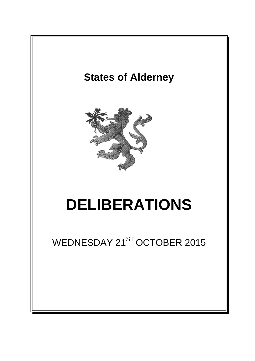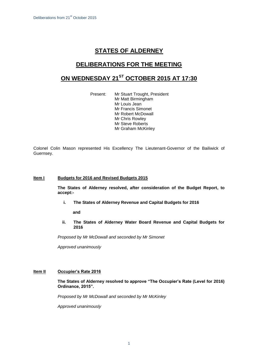# **STATES OF ALDERNEY**

## **DELIBERATIONS FOR THE MEETING**

## **ON WEDNESDAY 21ST OCTOBER 2015 AT 17:30**

Present: Mr Stuart Trought, President Mr Matt Birmingham Mr Louis Jean Mr Francis Simonet Mr Robert McDowall Mr Chris Rowley Mr Steve Roberts Mr Graham McKinley

Colonel Colin Mason represented His Excellency The Lieutenant-Governor of the Bailiwick of Guernsey.

## **Item I Budgets for 2016 and Revised Budgets 2015**

**The States of Alderney resolved, after consideration of the Budget Report, to accept:-**

**i. The States of Alderney Revenue and Capital Budgets for 2016**

**and**

**ii. The States of Alderney Water Board Revenue and Capital Budgets for 2016**

*Proposed by Mr McDowall and seconded by Mr Simonet*

*Approved unanimously*

## **Item II Occupier's Rate 2016**

**The States of Alderney resolved to approve "The Occupier's Rate (Level for 2016) Ordinance, 2015".**

*Proposed by Mr McDowall and seconded by Mr McKinley*

*Approved unanimously*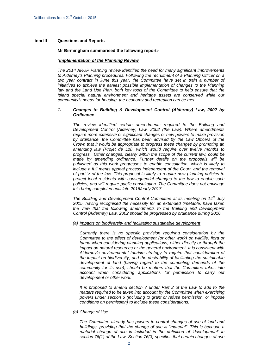### **Item III Questions and Reports**

#### **Mr Birmingham summarised the following report:-**

#### *"Implementation of the Planning Review*

*The 2014 ARUP Planning review identified the need for many significant improvements to Alderney's Planning procedures. Following the recruitment of a Planning Officer on a two year contract in June this year, the Committee have set in train a number of initiatives to achieve the earliest possible implementation of changes to the Planning*  law and the Land Use Plan, both key tools of the Committee to help ensure that the *Island special natural environment and heritage assets are conserved while our community's needs for housing, the economy and recreation can be met.* 

#### *1. Changes to Building & Development Control (Alderney) Law, 2002 by Ordinance*

*The review identified certain amendments required to the Building and Development Control (Alderney) Law, 2002 (the Law). Where amendments require more extensive or significant changes or new powers to make provision by ordinance, the Committee has been advised by the Law Officers of the Crown that it would be appropriate to progress these changes by promoting an amending law (Projet de Loi), which would require over twelve months to progress. Other changes, clearly within the scope of the current law, could be made by amending ordinance. Further details on the proposals will be published as this work progresses to enable consultation, which is likely to include a full merits appeal process independent of the Court, and the removal of part V of the law. This proposal is likely to require new planning policies to protect local residents with consequential changes to the law to enable such policies, and will require public consultation. The Committee does not envisage this being completed until late 2016/early 2017.* 

*The Building and Development Control Committee at its meeting on 14th July 2015, having recognised the necessity for an extended timetable, have taken the view that the following amendments to the Building and Development Control (Alderney) Law, 2002 should be progressed by ordinance during 2016.*

#### *(a) Impacts on biodiversity and facilitating sustainable development*

*Currently there is no specific provision requiring consideration by the Committee to the effect of development (or other work) on wildlife, flora or fauna when considering planning applications, either directly or through the impact on natural resources or the general environment. It is consistent with Alderney's environmental tourism strategy to require that consideration of the impact on biodiversity, and the desirability of facilitating the sustainable development of land (having regard to the competing demands of the community for its use), should be matters that the Committee takes into account when considering applications for permission to carry out development or other work.*

*It is proposed to amend section 7 under Part 2 of the Law to add to the matters required to be taken into account by the Committee when exercising powers under section 6 (including to grant or refuse permission, or impose conditions on permission) to include these considerations.*

*(b) Change of Use*

*The Committee already has powers to control changes of use of land and buildings, providing that the change of use is "material". This is because a material change of use is included in the definition of 'development' in section 76(1) of the Law. Section 76(3) specifies that certain changes of use*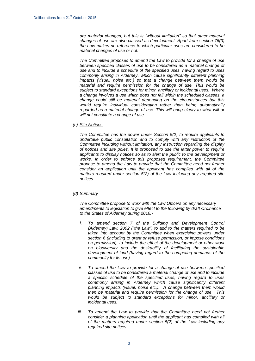*are material changes, but this is "without limitation" so that other material changes of use are also classed as development. Apart from section 76(3) the Law makes no reference to which particular uses are considered to be material changes of use or not.*

*The Committee proposes to amend the Law to provide for a change of use between specified classes of use to be considered as a material change of use and to include a schedule of the specified uses, having regard to uses commonly arising in Alderney, which cause significantly different planning impacts (visual, noise etc.) so that a change between them would be material and require permission for the change of use. This would be subject to standard exceptions for minor, ancillary or incidental uses. Where a change involves a use which does not fall within the scheduled classes, a change could still be material depending on the circumstances but this would require individual consideration rather than being automatically*  regarded as a material change of use. This will bring clarity to what will or *will not constitute a change of use.*

*(c) Site Notices*

*The Committee has the power under Section 5(2) to require applicants to undertake public consultation and to comply with any instruction of the Committee including without limitation, any instruction regarding the display of notices and site poles. It is proposed to use the latter power to require applicants to display notices so as to alert the public to the development or works. In order to enforce this proposed requirement, the Committee propose to amend the Law to provide that the Committee need not further consider an application until the applicant has complied with all of the matters required under section 5(2) of the Law including any required site notices.*

## *(d) Summary*

*The Committee propose to work with the Law Officers on any necessary amendments to legislation to give effect to the following by draft Ordinance to the States of Alderney during 2016:-*

- *i. To amend section 7 of the Building and Development Control (Alderney) Law, 2002 ("the Law") to add to the matters required to be taken into account by the Committee when exercising powers under section 6 (including to grant or refuse permission, or impose conditions on permission), to include the effect of the development or other work on biodiversity and the desirability of facilitating the sustainable development of land (having regard to the competing demands of the community for its use).*
- *ii. To amend the Law to provide for a change of use between specified classes of use to be considered a material change of use and to include a specific schedule of the specified uses, having regard to uses commonly arising in Alderney which cause significantly different planning impacts (visual, noise etc.). A change between them would then be material and require permission for the change of use. This would be subject to standard exceptions for minor, ancillary or incidental uses.*
- iii. To amend the Law to provide that the Committee need not further *consider a planning application until the applicant has complied with all of the matters required under section 5(2) of the Law including any required site notices.*